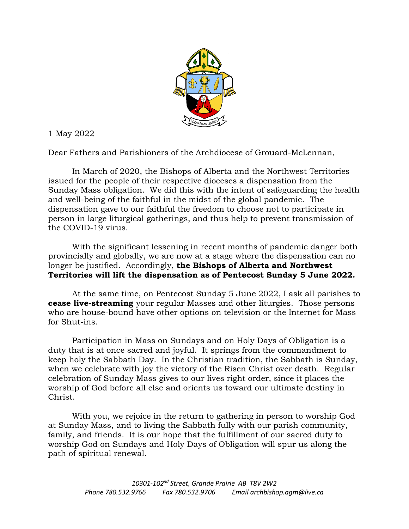

1 May 2022

Dear Fathers and Parishioners of the Archdiocese of Grouard-McLennan,

In March of 2020, the Bishops of Alberta and the Northwest Territories issued for the people of their respective dioceses a dispensation from the Sunday Mass obligation. We did this with the intent of safeguarding the health and well-being of the faithful in the midst of the global pandemic. The dispensation gave to our faithful the freedom to choose not to participate in person in large liturgical gatherings, and thus help to prevent transmission of the COVID-19 virus.

With the significant lessening in recent months of pandemic danger both provincially and globally, we are now at a stage where the dispensation can no longer be justified. Accordingly, **the Bishops of Alberta and Northwest Territories will lift the dispensation as of Pentecost Sunday 5 June 2022.**

At the same time, on Pentecost Sunday 5 June 2022, I ask all parishes to **cease live-streaming** your regular Masses and other liturgies. Those persons who are house-bound have other options on television or the Internet for Mass for Shut-ins.

Participation in Mass on Sundays and on Holy Days of Obligation is a duty that is at once sacred and joyful. It springs from the commandment to keep holy the Sabbath Day. In the Christian tradition, the Sabbath is Sunday, when we celebrate with joy the victory of the Risen Christ over death. Regular celebration of Sunday Mass gives to our lives right order, since it places the worship of God before all else and orients us toward our ultimate destiny in Christ.

With you, we rejoice in the return to gathering in person to worship God at Sunday Mass, and to living the Sabbath fully with our parish community, family, and friends. It is our hope that the fulfillment of our sacred duty to worship God on Sundays and Holy Days of Obligation will spur us along the path of spiritual renewal.